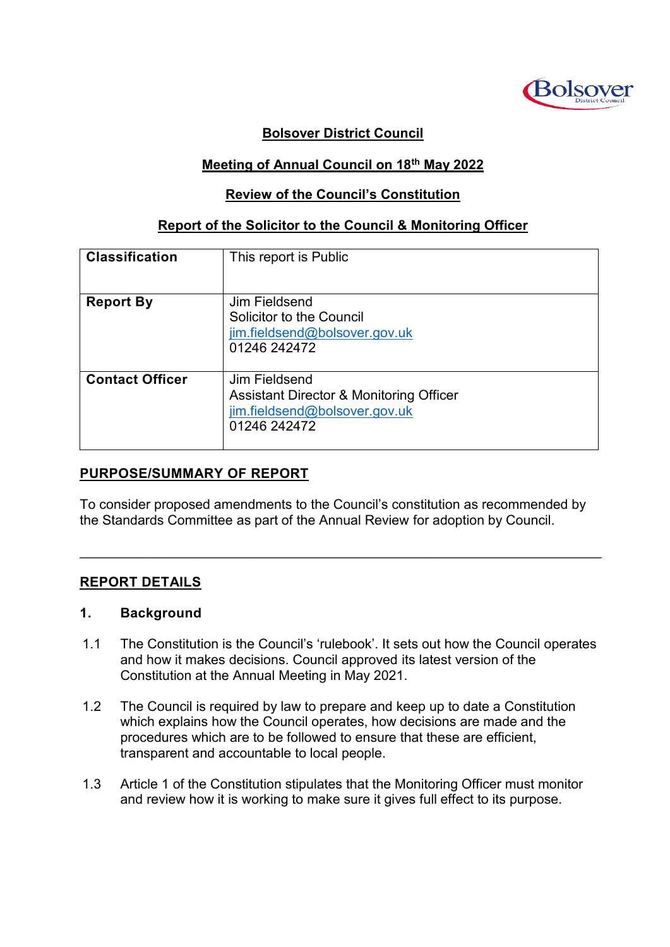

## **Bolsover District Council**

#### **Meeting of Annual Council on 18th May 2022**

#### **Review of the Council's Constitution**

#### **Report of the Solicitor to the Council & Monitoring Officer**

| <b>Classification</b>  | This report is Public                                                                                                |
|------------------------|----------------------------------------------------------------------------------------------------------------------|
| <b>Report By</b>       | Jim Fieldsend<br>Solicitor to the Council<br>jim.fieldsend@bolsover.gov.uk<br>01246 242472                           |
| <b>Contact Officer</b> | Jim Fieldsend<br><b>Assistant Director &amp; Monitoring Officer</b><br>jim.fieldsend@bolsover.gov.uk<br>01246 242472 |

## **PURPOSE/SUMMARY OF REPORT**

To consider proposed amendments to the Council's constitution as recommended by the Standards Committee as part of the Annual Review for adoption by Council.

 $\mathcal{L}_\mathcal{L} = \mathcal{L}_\mathcal{L} = \mathcal{L}_\mathcal{L} = \mathcal{L}_\mathcal{L} = \mathcal{L}_\mathcal{L} = \mathcal{L}_\mathcal{L} = \mathcal{L}_\mathcal{L} = \mathcal{L}_\mathcal{L} = \mathcal{L}_\mathcal{L} = \mathcal{L}_\mathcal{L} = \mathcal{L}_\mathcal{L} = \mathcal{L}_\mathcal{L} = \mathcal{L}_\mathcal{L} = \mathcal{L}_\mathcal{L} = \mathcal{L}_\mathcal{L} = \mathcal{L}_\mathcal{L} = \mathcal{L}_\mathcal{L}$ 

#### **REPORT DETAILS**

#### **1. Background**

- 1.1 The Constitution is the Council's 'rulebook'. It sets out how the Council operates and how it makes decisions. Council approved its latest version of the Constitution at the Annual Meeting in May 2021.
- 1.2 The Council is required by law to prepare and keep up to date a Constitution which explains how the Council operates, how decisions are made and the procedures which are to be followed to ensure that these are efficient, transparent and accountable to local people.
- 1.3 Article 1 of the Constitution stipulates that the Monitoring Officer must monitor and review how it is working to make sure it gives full effect to its purpose.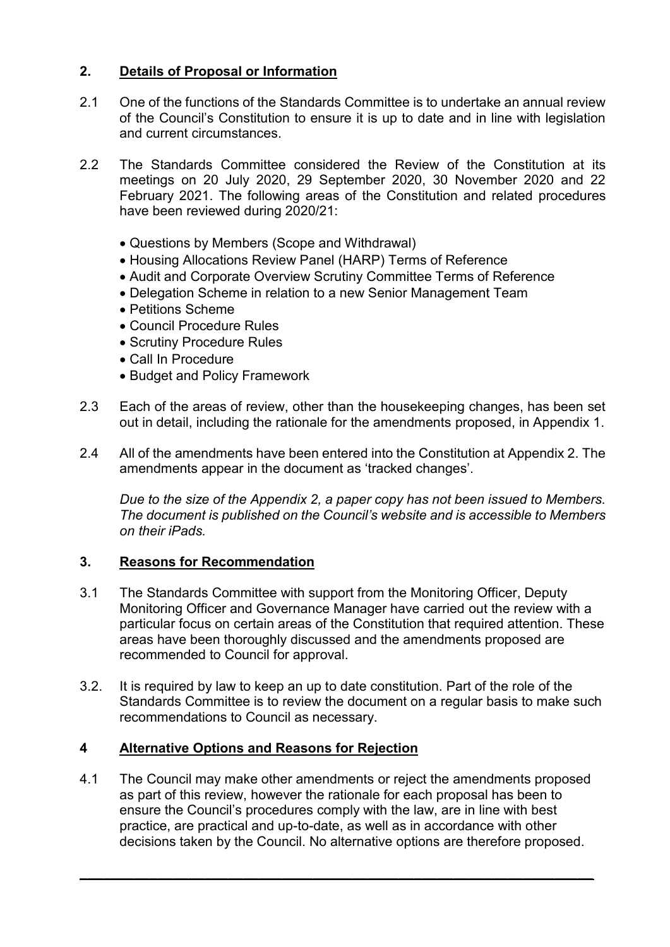## **2. Details of Proposal or Information**

- 2.1 One of the functions of the Standards Committee is to undertake an annual review of the Council's Constitution to ensure it is up to date and in line with legislation and current circumstances.
- 2.2 The Standards Committee considered the Review of the Constitution at its meetings on 20 July 2020, 29 September 2020, 30 November 2020 and 22 February 2021. The following areas of the Constitution and related procedures have been reviewed during 2020/21:
	- Questions by Members (Scope and Withdrawal)
	- Housing Allocations Review Panel (HARP) Terms of Reference
	- Audit and Corporate Overview Scrutiny Committee Terms of Reference
	- Delegation Scheme in relation to a new Senior Management Team
	- Petitions Scheme
	- Council Procedure Rules
	- Scrutiny Procedure Rules
	- Call In Procedure
	- Budget and Policy Framework
- 2.3 Each of the areas of review, other than the housekeeping changes, has been set out in detail, including the rationale for the amendments proposed, in Appendix 1.
- 2.4 All of the amendments have been entered into the Constitution at Appendix 2. The amendments appear in the document as 'tracked changes'.

*Due to the size of the Appendix 2, a paper copy has not been issued to Members. The document is published on the Council's website and is accessible to Members on their iPads.*

## **3. Reasons for Recommendation**

- 3.1 The Standards Committee with support from the Monitoring Officer, Deputy Monitoring Officer and Governance Manager have carried out the review with a particular focus on certain areas of the Constitution that required attention. These areas have been thoroughly discussed and the amendments proposed are recommended to Council for approval.
- 3.2. It is required by law to keep an up to date constitution. Part of the role of the Standards Committee is to review the document on a regular basis to make such recommendations to Council as necessary.

## **4 Alternative Options and Reasons for Rejection**

4.1 The Council may make other amendments or reject the amendments proposed as part of this review, however the rationale for each proposal has been to ensure the Council's procedures comply with the law, are in line with best practice, are practical and up-to-date, as well as in accordance with other decisions taken by the Council. No alternative options are therefore proposed.

**\_\_\_\_\_\_\_\_\_\_\_\_\_\_\_\_\_\_\_\_\_\_\_\_\_\_\_\_\_\_\_\_\_\_\_\_\_\_\_\_\_\_\_\_\_\_\_\_\_\_\_\_\_\_\_\_\_\_\_\_\_\_\_\_\_\_**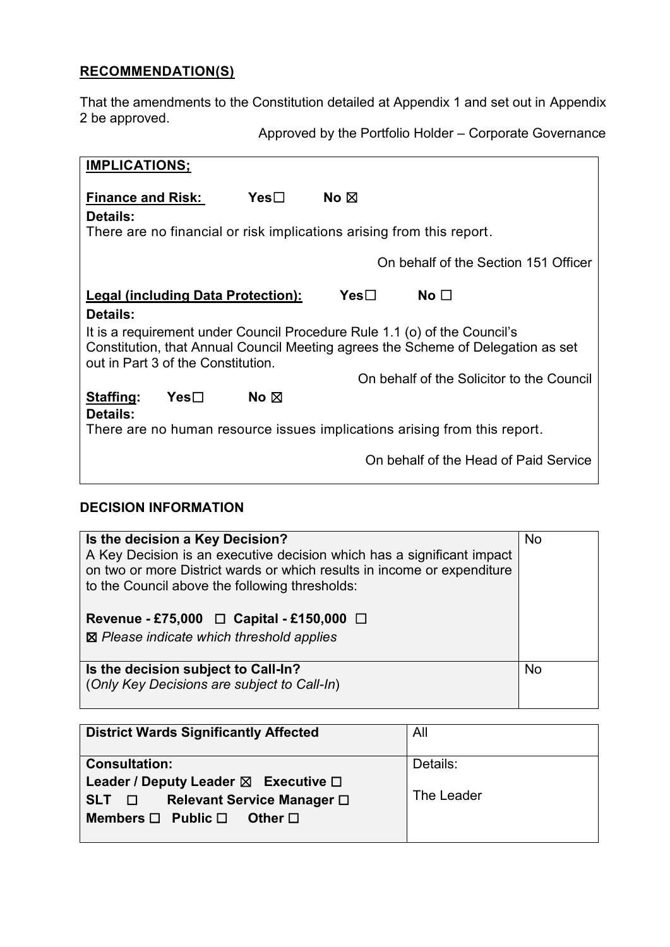# **RECOMMENDATION(S)**

That the amendments to the Constitution detailed at Appendix 1 and set out in Appendix 2 be approved.

Approved by the Portfolio Holder – Corporate Governance

| <b>IMPLICATIONS;</b>                                                                                                                                                                                |     |                |      |                                                                       |  |
|-----------------------------------------------------------------------------------------------------------------------------------------------------------------------------------------------------|-----|----------------|------|-----------------------------------------------------------------------|--|
| <b>Finance and Risk:</b><br>Details:                                                                                                                                                                |     | Yes□           | No ⊠ | There are no financial or risk implications arising from this report. |  |
|                                                                                                                                                                                                     |     |                |      |                                                                       |  |
|                                                                                                                                                                                                     |     |                |      | On behalf of the Section 151 Officer                                  |  |
| Legal (including Data Protection):                                                                                                                                                                  |     |                | Yes⊟ | No $\square$                                                          |  |
| Details:                                                                                                                                                                                            |     |                |      |                                                                       |  |
| It is a requirement under Council Procedure Rule 1.1 (o) of the Council's<br>Constitution, that Annual Council Meeting agrees the Scheme of Delegation as set<br>out in Part 3 of the Constitution. |     |                |      |                                                                       |  |
|                                                                                                                                                                                                     |     |                |      | On behalf of the Solicitor to the Council                             |  |
| Staffing:<br><b>Details:</b>                                                                                                                                                                        | Yes | No $\boxtimes$ |      |                                                                       |  |
| There are no human resource issues implications arising from this report.                                                                                                                           |     |                |      |                                                                       |  |
|                                                                                                                                                                                                     |     |                |      | On behalf of the Head of Paid Service                                 |  |

## **DECISION INFORMATION**

| Is the decision a Key Decision?<br>A Key Decision is an executive decision which has a significant impact<br>on two or more District wards or which results in income or expenditure<br>to the Council above the following thresholds:<br>Revenue - £75,000 $\Box$ Capital - £150,000 $\Box$<br>$\boxtimes$ Please indicate which threshold applies | No        |
|-----------------------------------------------------------------------------------------------------------------------------------------------------------------------------------------------------------------------------------------------------------------------------------------------------------------------------------------------------|-----------|
| Is the decision subject to Call-In?<br>(Only Key Decisions are subject to Call-In)                                                                                                                                                                                                                                                                  | <b>No</b> |

| <b>District Wards Significantly Affected</b>                                                                                                                    | All                    |
|-----------------------------------------------------------------------------------------------------------------------------------------------------------------|------------------------|
| <b>Consultation:</b><br>Leader / Deputy Leader $\boxtimes$ Executive $\Box$<br>Relevant Service Manager □<br>SLT D<br>Members $\Box$ Public $\Box$ Other $\Box$ | Details:<br>The Leader |